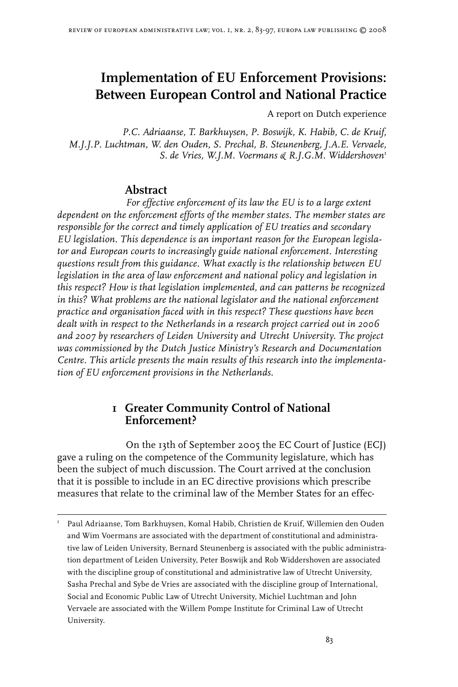# **Implementation of EU Enforcement Provisions: Between European Control and National Practice**

A report on Dutch experience

*S. de Vries, W.J.M. Voermans & R.J.G.M. Widdershoven P.C. Adriaanse, T. Barkhuysen, P. Boswijk, K. Habib, C. de Kruif, M.J.J.P. Luchtman, W. den Ouden, S. Prechal, B. Steunenberg, J.A.E. Vervaele,* 

### **Abstract**

*For effective enforcement of its law the EU is to a large extent dependent on the enforcement efforts of the member states. The member states are responsible for the correct and timely application of EU treaties and secondary EU legislation. This dependence is an important reason for the European legislator and European courts to increasingly guide national enforcement. Interesting questions result from this guidance. What exactly is the relationship between EU legislation in the area of law enforcement and national policy and legislation in this respect? How is that legislation implemented, and can patterns be recognized in this? What problems are the national legislator and the national enforcement practice and organisation faced with in this respect? These questions have been dealt with in respect to the Netherlands in a research project carried out in 2006 and 2007 by researchers of Leiden University and Utrecht University. The project was commissioned by the Dutch Justice Ministry's Research and Documentation Centre. This article presents the main results of this research into the implementation of EU enforcement provisions in the Netherlands.* 

### **1 Greater Community Control of National Enforcement?**

On the 13th of September 2005 the EC Court of Justice (ECJ) gave a ruling on the competence of the Community legislature, which has been the subject of much discussion. The Court arrived at the conclusion that it is possible to include in an EC directive provisions which prescribe measures that relate to the criminal law of the Member States for an effec-

 Paul Adriaanse, Tom Barkhuysen, Komal Habib, Christien de Kruif, Willemien den Ouden and Wim Voermans are associated with the department of constitutional and administrative law of Leiden University, Bernard Steunenberg is associated with the public administration department of Leiden University, Peter Boswijk and Rob Widdershoven are associated with the discipline group of constitutional and administrative law of Utrecht University, Sasha Prechal and Sybe de Vries are associated with the discipline group of International, Social and Economic Public Law of Utrecht University, Michiel Luchtman and John Vervaele are associated with the Willem Pompe Institute for Criminal Law of Utrecht University.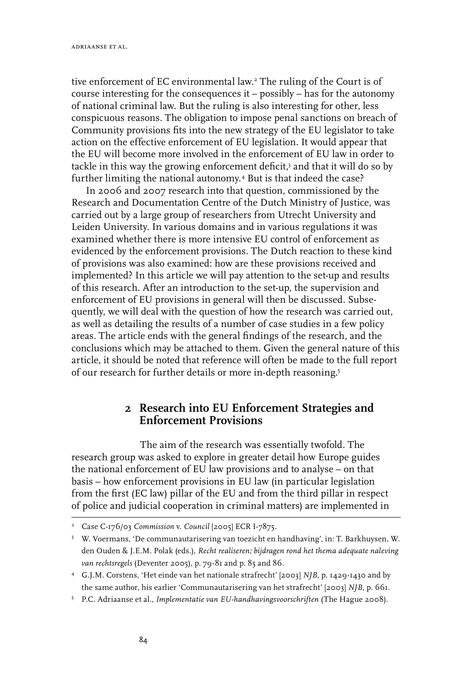tive enforcement of EC environmental law.<sup>2</sup> The ruling of the Court is of course interesting for the consequences it – possibly – has for the autonomy of national criminal law. But the ruling is also interesting for other, less conspicuous reasons. The obligation to impose penal sanctions on breach of Community provisions fits into the new strategy of the EU legislator to take action on the effective enforcement of EU legislation. It would appear that the EU will become more involved in the enforcement of EU law in order to tackle in this way the growing enforcement deficit, $\delta$  and that it will do so by further limiting the national autonomy. But is that indeed the case?

In 2006 and 2007 research into that question, commissioned by the Research and Documentation Centre of the Dutch Ministry of Justice, was carried out by a large group of researchers from Utrecht University and Leiden University. In various domains and in various regulations it was examined whether there is more intensive EU control of enforcement as evidenced by the enforcement provisions. The Dutch reaction to these kind of provisions was also examined: how are these provisions received and implemented? In this article we will pay attention to the set-up and results of this research. After an introduction to the set-up, the supervision and enforcement of EU provisions in general will then be discussed. Subsequently, we will deal with the question of how the research was carried out, as well as detailing the results of a number of case studies in a few policy areas. The article ends with the general findings of the research, and the conclusions which may be attached to them. Given the general nature of this article, it should be noted that reference will often be made to the full report of our research for further details or more in-depth reasoning.

### **2 Research into EU Enforcement Strategies and Enforcement Provisions**

The aim of the research was essentially twofold. The research group was asked to explore in greater detail how Europe guides the national enforcement of EU law provisions and to analyse – on that basis – how enforcement provisions in EU law (in particular legislation from the first (EC law) pillar of the EU and from the third pillar in respect of police and judicial cooperation in criminal matters) are implemented in

<sup>&</sup>lt;sup>2</sup> Case C-176/03 *Commission* v. *Council* [2005] ECR I-7875.

W. Voermans, 'De communautarisering van toezicht en handhaving', in: T. Barkhuysen, W. den Ouden & J.E.M. Polak (eds.), *Recht realiseren; bijdragen rond het thema adequate naleving van rechtsregels* (Deventer 2005), p. 79-81 and p. 85 and 86.

 G.J.M. Corstens, 'Het einde van het nationale strafrecht' [2003] *NJB*, p. 1429-1430 and by the same author, his earlier 'Communautarisering van het strafrecht' [2003] *NJB*, p. 661.

P.C. Adriaanse et al., *Implementatie van EU-handhavingsvoorschriften* (The Hague 2008).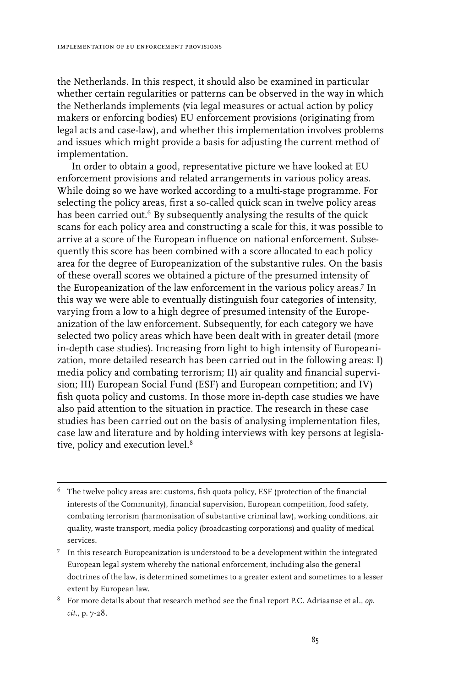the Netherlands. In this respect, it should also be examined in particular whether certain regularities or patterns can be observed in the way in which the Netherlands implements (via legal measures or actual action by policy makers or enforcing bodies) EU enforcement provisions (originating from legal acts and case-law), and whether this implementation involves problems and issues which might provide a basis for adjusting the current method of implementation.

In order to obtain a good, representative picture we have looked at EU enforcement provisions and related arrangements in various policy areas. While doing so we have worked according to a multi-stage programme. For selecting the policy areas, first a so-called quick scan in twelve policy areas has been carried out.<sup>6</sup> By subsequently analysing the results of the quick scans for each policy area and constructing a scale for this, it was possible to arrive at a score of the European influence on national enforcement. Subsequently this score has been combined with a score allocated to each policy area for the degree of Europeanization of the substantive rules. On the basis of these overall scores we obtained a picture of the presumed intensity of the Europeanization of the law enforcement in the various policy areas.<sup>7</sup> In this way we were able to eventually distinguish four categories of intensity, varying from a low to a high degree of presumed intensity of the Europeanization of the law enforcement. Subsequently, for each category we have selected two policy areas which have been dealt with in greater detail (more in-depth case studies). Increasing from light to high intensity of Europeanization, more detailed research has been carried out in the following areas: I) media policy and combating terrorism; II) air quality and financial supervision; III) European Social Fund (ESF) and European competition; and IV) fish quota policy and customs. In those more in-depth case studies we have also paid attention to the situation in practice. The research in these case studies has been carried out on the basis of analysing implementation files, case law and literature and by holding interviews with key persons at legislative, policy and execution level.<sup>8</sup>

 $6$  The twelve policy areas are: customs, fish quota policy, ESF (protection of the financial interests of the Community), financial supervision, European competition, food safety, combating terrorism (harmonisation of substantive criminal law), working conditions, air quality, waste transport, media policy (broadcasting corporations) and quality of medical services.

 $7$  In this research Europeanization is understood to be a development within the integrated European legal system whereby the national enforcement, including also the general doctrines of the law, is determined sometimes to a greater extent and sometimes to a lesser extent by European law.

For more details about that research method see the final report P.C. Adriaanse et al., *op. cit.*, p. 7-28.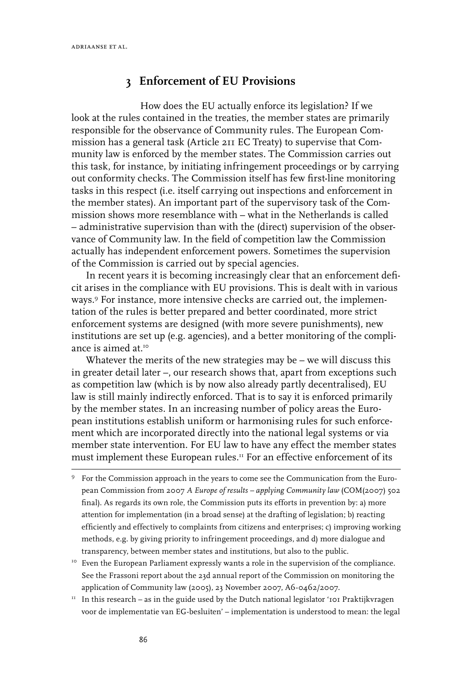## **3 Enforcement of EU Provisions**

How does the EU actually enforce its legislation? If we look at the rules contained in the treaties, the member states are primarily responsible for the observance of Community rules. The European Commission has a general task (Article 211 EC Treaty) to supervise that Community law is enforced by the member states. The Commission carries out this task, for instance, by initiating infringement proceedings or by carrying out conformity checks. The Commission itself has few first-line monitoring tasks in this respect (i.e. itself carrying out inspections and enforcement in the member states). An important part of the supervisory task of the Commission shows more resemblance with – what in the Netherlands is called – administrative supervision than with the (direct) supervision of the observance of Community law. In the field of competition law the Commission actually has independent enforcement powers. Sometimes the supervision of the Commission is carried out by special agencies.

In recent years it is becoming increasingly clear that an enforcement deficit arises in the compliance with EU provisions. This is dealt with in various ways.<sup>9</sup> For instance, more intensive checks are carried out, the implementation of the rules is better prepared and better coordinated, more strict enforcement systems are designed (with more severe punishments), new institutions are set up (e.g. agencies), and a better monitoring of the compliance is aimed at  $10$ 

Whatever the merits of the new strategies may be – we will discuss this in greater detail later –, our research shows that, apart from exceptions such as competition law (which is by now also already partly decentralised), EU law is still mainly indirectly enforced. That is to say it is enforced primarily by the member states. In an increasing number of policy areas the European institutions establish uniform or harmonising rules for such enforcement which are incorporated directly into the national legal systems or via member state intervention. For EU law to have any effect the member states must implement these European rules.<sup>11</sup> For an effective enforcement of its

- For the Commission approach in the years to come see the Communication from the European Commission from 2007 *A Europe of results – applying Community law* (COM(2007) 502 final). As regards its own role, the Commission puts its efforts in prevention by: a) more attention for implementation (in a broad sense) at the drafting of legislation; b) reacting efficiently and effectively to complaints from citizens and enterprises; c) improving working methods, e.g. by giving priority to infringement proceedings, and d) more dialogue and transparency, between member states and institutions, but also to the public.
- <sup>10</sup> Even the European Parliament expressly wants a role in the supervision of the compliance. See the Frassoni report about the 23d annual report of the Commission on monitoring the application of Community law (2005), 23 November 2007, A6-0462/2007.
- $11$  In this research as in the guide used by the Dutch national legislator '101 Praktijkvragen voor de implementatie van EG-besluiten' – implementation is understood to mean: the legal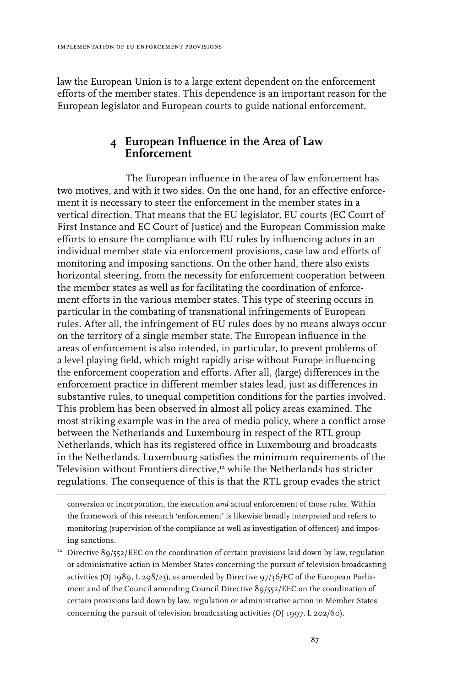law the European Union is to a large extent dependent on the enforcement efforts of the member states. This dependence is an important reason for the European legislator and European courts to guide national enforcement.

### **4 European Influence in the Area of Law Enforcement**

The European influence in the area of law enforcement has two motives, and with it two sides. On the one hand, for an effective enforcement it is necessary to steer the enforcement in the member states in a vertical direction. That means that the EU legislator, EU courts (EC Court of First Instance and EC Court of Justice) and the European Commission make efforts to ensure the compliance with EU rules by influencing actors in an individual member state via enforcement provisions, case law and efforts of monitoring and imposing sanctions. On the other hand, there also exists horizontal steering, from the necessity for enforcement cooperation between the member states as well as for facilitating the coordination of enforcement efforts in the various member states. This type of steering occurs in particular in the combating of transnational infringements of European rules. After all, the infringement of EU rules does by no means always occur on the territory of a single member state. The European influence in the areas of enforcement is also intended, in particular, to prevent problems of a level playing field, which might rapidly arise without Europe influencing the enforcement cooperation and efforts. After all, (large) differences in the enforcement practice in different member states lead, just as differences in substantive rules, to unequal competition conditions for the parties involved. This problem has been observed in almost all policy areas examined. The most striking example was in the area of media policy, where a conflict arose between the Netherlands and Luxembourg in respect of the RTL group Netherlands, which has its registered office in Luxembourg and broadcasts in the Netherlands. Luxembourg satisfies the minimum requirements of the Television without Frontiers directive,<sup>12</sup> while the Netherlands has stricter regulations. The consequence of this is that the RTL group evades the strict

conversion or incorporation, the execution *and* actual enforcement of those rules. Within the framework of this research 'enforcement' is likewise broadly interpreted and refers to monitoring (supervision of the compliance as well as investigation of offences) and imposing sanctions.

 $12^1$  Directive 89/552/EEC on the coordination of certain provisions laid down by law, regulation or administrative action in Member States concerning the pursuit of television broadcasting activities (OJ 1989, L 298/23), as amended by Directive 97/36/EC of the European Parliament and of the Council amending Council Directive 89/552/EEC on the coordination of certain provisions laid down by law, regulation or administrative action in Member States concerning the pursuit of television broadcasting activities (OJ 1997, L 202/60).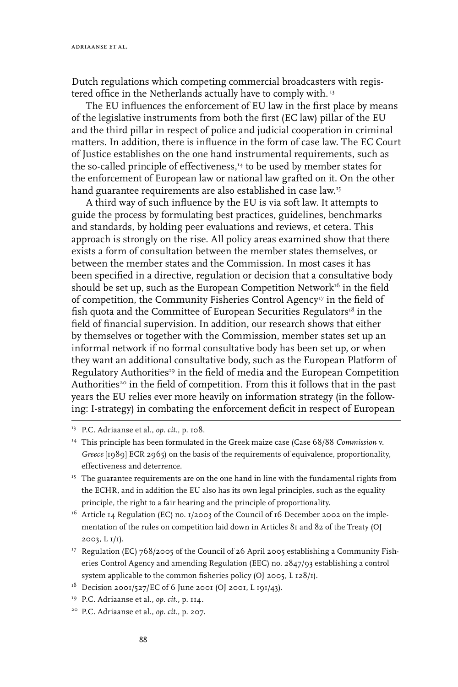Dutch regulations which competing commercial broadcasters with registered office in the Netherlands actually have to comply with.<sup>13</sup>

The EU influences the enforcement of EU law in the first place by means of the legislative instruments from both the first (EC law) pillar of the EU and the third pillar in respect of police and judicial cooperation in criminal matters. In addition, there is influence in the form of case law. The EC Court of Justice establishes on the one hand instrumental requirements, such as the so-called principle of effectiveness,<sup>14</sup> to be used by member states for the enforcement of European law or national law grafted on it. On the other hand guarantee requirements are also established in case law.15

A third way of such influence by the EU is via soft law. It attempts to guide the process by formulating best practices, guidelines, benchmarks and standards, by holding peer evaluations and reviews, et cetera. This approach is strongly on the rise. All policy areas examined show that there exists a form of consultation between the member states themselves, or between the member states and the Commission. In most cases it has been specified in a directive, regulation or decision that a consultative body should be set up, such as the European Competition Network<sup>16</sup> in the field of competition, the Community Fisheries Control Agency<sup>17</sup> in the field of fish quota and the Committee of European Securities Regulators $^{\text{\tiny{18}}}$  in the field of financial supervision*.* In addition, our research shows that either by themselves or together with the Commission, member states set up an informal network if no formal consultative body has been set up, or when they want an additional consultative body, such as the European Platform of Regulatory Authorities<sup>19</sup> in the field of media and the European Competition Authorities<sup>20</sup> in the field of competition. From this it follows that in the past years the EU relies ever more heavily on information strategy (in the following: I-strategy) in combating the enforcement deficit in respect of European

- <sup>15</sup> The guarantee requirements are on the one hand in line with the fundamental rights from the ECHR, and in addition the EU also has its own legal principles, such as the equality principle, the right to a fair hearing and the principle of proportionality.
- $16$  Article 14 Regulation (EC) no. 1/2003 of the Council of 16 December 2002 on the implementation of the rules on competition laid down in Articles 81 and 82 of the Treaty (OJ 2003, L 1/1).
- <sup>17</sup> Regulation (EC) 768/2005 of the Council of 26 April 2005 establishing a Community Fisheries Control Agency and amending Regulation (EEC) no. 2847/93 establishing a control system applicable to the common fisheries policy (OJ 2005, L 128/1).
- $1^8$  Decision 2001/527/EC of 6 June 2001 (OJ 2001, L 191/43).
- 19 P.C. Adriaanse et al., *op. cit.*, p. 114.
- 20 P.C. Adriaanse et al., *op. cit.*, p. 207.

<sup>13</sup> P.C. Adriaanse et al., *op. cit.*, p. 108.

<sup>&</sup>lt;sup>14</sup> This principle has been formulated in the Greek maize case (Case 68/88 *Commission v. Greece* [1989] ECR 2965) on the basis of the requirements of equivalence, proportionality, effectiveness and deterrence.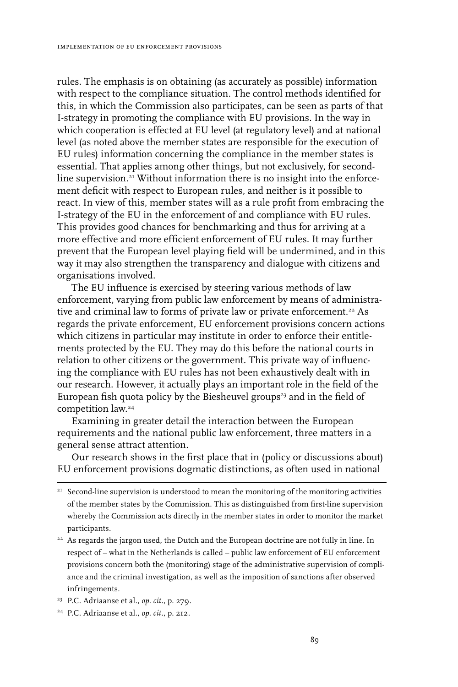rules. The emphasis is on obtaining (as accurately as possible) information with respect to the compliance situation. The control methods identified for this, in which the Commission also participates, can be seen as parts of that I-strategy in promoting the compliance with EU provisions. In the way in which cooperation is effected at EU level (at regulatory level) and at national level (as noted above the member states are responsible for the execution of EU rules) information concerning the compliance in the member states is essential. That applies among other things, but not exclusively, for secondline supervision. $^{\mathrm{21}}$  Without information there is no insight into the enforcement deficit with respect to European rules, and neither is it possible to react. In view of this, member states will as a rule profit from embracing the I-strategy of the EU in the enforcement of and compliance with EU rules. This provides good chances for benchmarking and thus for arriving at a more effective and more efficient enforcement of EU rules. It may further prevent that the European level playing field will be undermined, and in this way it may also strengthen the transparency and dialogue with citizens and organisations involved.

The EU influence is exercised by steering various methods of law enforcement, varying from public law enforcement by means of administrative and criminal law to forms of private law or private enforcement.<sup>22</sup> As regards the private enforcement, EU enforcement provisions concern actions which citizens in particular may institute in order to enforce their entitlements protected by the EU. They may do this before the national courts in relation to other citizens or the government. This private way of influencing the compliance with EU rules has not been exhaustively dealt with in our research. However, it actually plays an important role in the field of the European fish quota policy by the Biesheuvel groups<sup>23</sup> and in the field of competition law.24

Examining in greater detail the interaction between the European requirements and the national public law enforcement, three matters in a general sense attract attention.

Our research shows in the first place that in (policy or discussions about) EU enforcement provisions dogmatic distinctions, as often used in national

<sup>22</sup> As regards the jargon used, the Dutch and the European doctrine are not fully in line. In respect of – what in the Netherlands is called – public law enforcement of EU enforcement provisions concern both the (monitoring) stage of the administrative supervision of compliance and the criminal investigation, as well as the imposition of sanctions after observed infringements.

 $2<sup>21</sup>$  Second-line supervision is understood to mean the monitoring of the monitoring activities of the member states by the Commission. This as distinguished from first-line supervision whereby the Commission acts directly in the member states in order to monitor the market participants.

<sup>23</sup> P.C. Adriaanse et al., *op. cit.*, p. 279.

<sup>24</sup> P.C. Adriaanse et al., *op. cit.*, p. 212.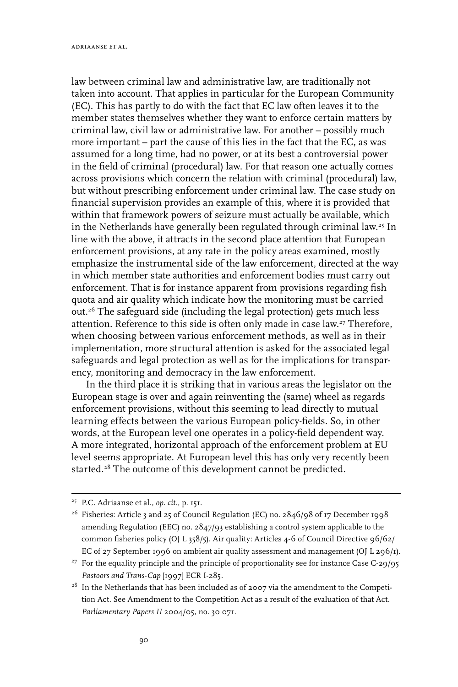law between criminal law and administrative law, are traditionally not taken into account. That applies in particular for the European Community (EC). This has partly to do with the fact that EC law often leaves it to the member states themselves whether they want to enforce certain matters by criminal law, civil law or administrative law. For another – possibly much more important – part the cause of this lies in the fact that the EC, as was assumed for a long time, had no power, or at its best a controversial power in the field of criminal (procedural) law. For that reason one actually comes across provisions which concern the relation with criminal (procedural) law, but without prescribing enforcement under criminal law. The case study on financial supervision provides an example of this, where it is provided that within that framework powers of seizure must actually be available, which in the Netherlands have generally been regulated through criminal law.<sup>25</sup> In line with the above, it attracts in the second place attention that European enforcement provisions, at any rate in the policy areas examined, mostly emphasize the instrumental side of the law enforcement, directed at the way in which member state authorities and enforcement bodies must carry out enforcement. That is for instance apparent from provisions regarding fish quota and air quality which indicate how the monitoring must be carried out.26 The safeguard side (including the legal protection) gets much less attention. Reference to this side is often only made in case law.27 Therefore, when choosing between various enforcement methods, as well as in their implementation, more structural attention is asked for the associated legal safeguards and legal protection as well as for the implications for transparency, monitoring and democracy in the law enforcement.

In the third place it is striking that in various areas the legislator on the European stage is over and again reinventing the (same) wheel as regards enforcement provisions, without this seeming to lead directly to mutual learning effects between the various European policy-fields. So, in other words, at the European level one operates in a policy-field dependent way. A more integrated, horizontal approach of the enforcement problem at EU level seems appropriate. At European level this has only very recently been started.<sup>28</sup> The outcome of this development cannot be predicted.

<sup>25</sup> P.C. Adriaanse et al., *op. cit.*, p. 151.

<sup>&</sup>lt;sup>26</sup> Fisheries: Article 3 and 25 of Council Regulation (EC) no. 2846/98 of 17 December 1998 amending Regulation (EEC) no. 2847/93 establishing a control system applicable to the common fisheries policy (OJ L 358/5). Air quality: Articles 4-6 of Council Directive 96/62/ EC of 27 September 1996 on ambient air quality assessment and management (OJ L 296/1).

<sup>&</sup>lt;sup>27</sup> For the equality principle and the principle of proportionality see for instance Case C-29/95 *Pastoors and Trans-Cap* [1997] ECR I-285.

 $^{28}\,$  In the Netherlands that has been included as of 2007 via the amendment to the Competition Act. See Amendment to the Competition Act as a result of the evaluation of that Act. *Parliamentary Papers II* 2004/05, no. 30 071.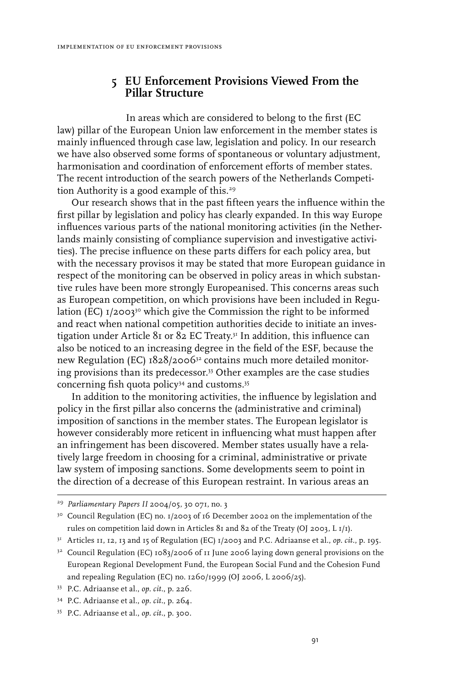### **5 EU Enforcement Provisions Viewed From the Pillar Structure**

In areas which are considered to belong to the first (EC law) pillar of the European Union law enforcement in the member states is mainly influenced through case law, legislation and policy. In our research we have also observed some forms of spontaneous or voluntary adjustment, harmonisation and coordination of enforcement efforts of member states. The recent introduction of the search powers of the Netherlands Competition Authority is a good example of this.<sup>29</sup>

Our research shows that in the past fifteen years the influence within the first pillar by legislation and policy has clearly expanded. In this way Europe influences various parts of the national monitoring activities (in the Netherlands mainly consisting of compliance supervision and investigative activities). The precise influence on these parts differs for each policy area, but with the necessary provisos it may be stated that more European guidance in respect of the monitoring can be observed in policy areas in which substantive rules have been more strongly Europeanised. This concerns areas such as European competition, on which provisions have been included in Regulation (EC)  $I/2003^{30}$  which give the Commission the right to be informed and react when national competition authorities decide to initiate an investigation under Article 81 or 82 EC Treaty.31 In addition, this influence can also be noticed to an increasing degree in the field of the ESF, because the new Regulation (EC) 1828/200632 contains much more detailed monitoring provisions than its predecessor.33 Other examples are the case studies concerning fish quota policy34 and customs.35

In addition to the monitoring activities, the influence by legislation and policy in the first pillar also concerns the (administrative and criminal) imposition of sanctions in the member states. The European legislator is however considerably more reticent in influencing what must happen after an infringement has been discovered. Member states usually have a relatively large freedom in choosing for a criminal, administrative or private law system of imposing sanctions. Some developments seem to point in the direction of a decrease of this European restraint. In various areas an

<sup>29</sup> *Parliamentary Papers II* 2004/05, 30 071, no. 3

<sup>&</sup>lt;sup>30</sup> Council Regulation (EC) no. 1/2003 of 16 December 2002 on the implementation of the rules on competition laid down in Articles 81 and 82 of the Treaty (OJ 2003, L 1/1).

<sup>31</sup> Articles 11, 12, 13 and 15 of Regulation (EC) 1/2003 and P.C. Adriaanse et al., *op. cit.*, p. 195.

<sup>&</sup>lt;sup>32</sup> Council Regulation (EC) 1083/2006 of 11 June 2006 laying down general provisions on the European Regional Development Fund, the European Social Fund and the Cohesion Fund and repealing Regulation (EC) no. 1260/1999 (OJ 2006, L 2006/25).

<sup>33</sup> P.C. Adriaanse et al., *op. cit.*, p. 226.

<sup>34</sup> P.C. Adriaanse et al., *op. cit.*, p. 264.

<sup>35</sup> P.C. Adriaanse et al., *op. cit.*, p. 300.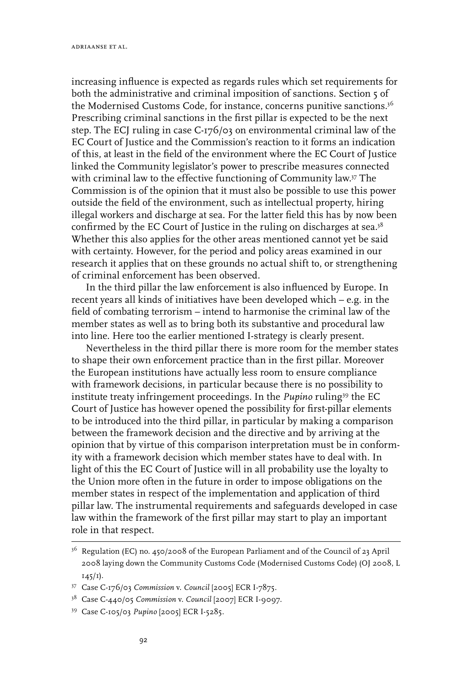increasing influence is expected as regards rules which set requirements for both the administrative and criminal imposition of sanctions. Section 5 of the Modernised Customs Code, for instance, concerns punitive sanctions.<sup>36</sup> Prescribing criminal sanctions in the first pillar is expected to be the next step. The ECJ ruling in case C-176/03 on environmental criminal law of the EC Court of Justice and the Commission's reaction to it forms an indication of this, at least in the field of the environment where the EC Court of Justice linked the Community legislator's power to prescribe measures connected with criminal law to the effective functioning of Community law.37 The Commission is of the opinion that it must also be possible to use this power outside the field of the environment, such as intellectual property, hiring illegal workers and discharge at sea. For the latter field this has by now been confirmed by the EC Court of Justice in the ruling on discharges at sea.<sup>38</sup> Whether this also applies for the other areas mentioned cannot yet be said with certainty. However, for the period and policy areas examined in our research it applies that on these grounds no actual shift to, or strengthening of criminal enforcement has been observed.

In the third pillar the law enforcement is also influenced by Europe. In recent years all kinds of initiatives have been developed which – e.g. in the field of combating terrorism – intend to harmonise the criminal law of the member states as well as to bring both its substantive and procedural law into line. Here too the earlier mentioned I-strategy is clearly present.

Nevertheless in the third pillar there is more room for the member states to shape their own enforcement practice than in the first pillar. Moreover the European institutions have actually less room to ensure compliance with framework decisions, in particular because there is no possibility to institute treaty infringement proceedings. In the *Pupino* ruling<sup>39</sup> the EC Court of Justice has however opened the possibility for first-pillar elements to be introduced into the third pillar, in particular by making a comparison between the framework decision and the directive and by arriving at the opinion that by virtue of this comparison interpretation must be in conformity with a framework decision which member states have to deal with. In light of this the EC Court of Justice will in all probability use the loyalty to the Union more often in the future in order to impose obligations on the member states in respect of the implementation and application of third pillar law. The instrumental requirements and safeguards developed in case law within the framework of the first pillar may start to play an important role in that respect.

<sup>36</sup> Regulation (EC) no. 450/2008 of the European Parliament and of the Council of 23 April 2008 laying down the Community Customs Code (Modernised Customs Code) (OJ 2008, L 145/1).

<sup>37</sup> Case C-176/03 *Commission* v. *Council* [2005] ECR I-7875.

<sup>38</sup> Case C-440/05 *Commission* v. *Council* [2007] ECR I-9097.

<sup>39</sup> Case C-105/03 *Pupino* [2005] ECR I-5285.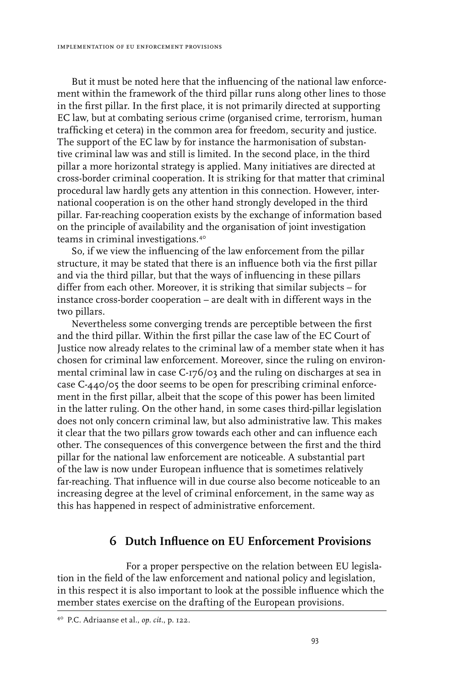But it must be noted here that the influencing of the national law enforcement within the framework of the third pillar runs along other lines to those in the first pillar. In the first place, it is not primarily directed at supporting EC law, but at combating serious crime (organised crime, terrorism, human trafficking et cetera) in the common area for freedom, security and justice. The support of the EC law by for instance the harmonisation of substantive criminal law was and still is limited. In the second place, in the third pillar a more horizontal strategy is applied. Many initiatives are directed at cross-border criminal cooperation. It is striking for that matter that criminal procedural law hardly gets any attention in this connection. However, international cooperation is on the other hand strongly developed in the third pillar. Far-reaching cooperation exists by the exchange of information based on the principle of availability and the organisation of joint investigation teams in criminal investigations.40

So, if we view the influencing of the law enforcement from the pillar structure, it may be stated that there is an influence both via the first pillar and via the third pillar, but that the ways of influencing in these pillars differ from each other. Moreover, it is striking that similar subjects – for instance cross-border cooperation – are dealt with in different ways in the two pillars.

Nevertheless some converging trends are perceptible between the first and the third pillar. Within the first pillar the case law of the EC Court of Justice now already relates to the criminal law of a member state when it has chosen for criminal law enforcement. Moreover, since the ruling on environmental criminal law in case C-176/03 and the ruling on discharges at sea in case C-440/05 the door seems to be open for prescribing criminal enforcement in the first pillar, albeit that the scope of this power has been limited in the latter ruling. On the other hand, in some cases third-pillar legislation does not only concern criminal law, but also administrative law. This makes it clear that the two pillars grow towards each other and can influence each other. The consequences of this convergence between the first and the third pillar for the national law enforcement are noticeable. A substantial part of the law is now under European influence that is sometimes relatively far-reaching. That influence will in due course also become noticeable to an increasing degree at the level of criminal enforcement, in the same way as this has happened in respect of administrative enforcement.

### **6 Dutch Influence on EU Enforcement Provisions**

For a proper perspective on the relation between EU legislation in the field of the law enforcement and national policy and legislation, in this respect it is also important to look at the possible influence which the member states exercise on the drafting of the European provisions.

<sup>40</sup> P.C. Adriaanse et al., *op. cit.*, p. 122.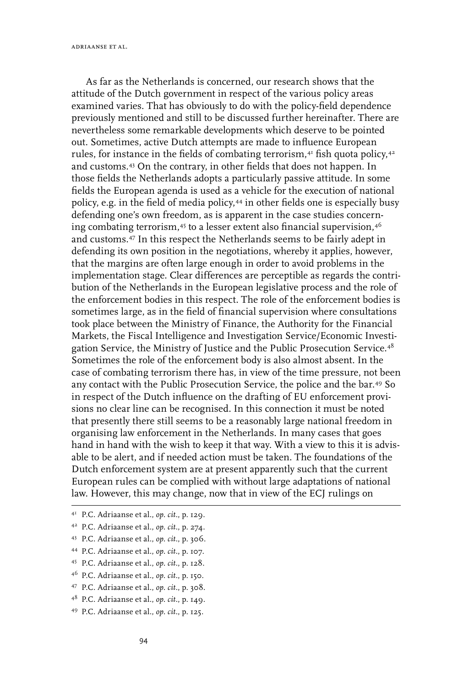As far as the Netherlands is concerned, our research shows that the attitude of the Dutch government in respect of the various policy areas examined varies. That has obviously to do with the policy-field dependence previously mentioned and still to be discussed further hereinafter. There are nevertheless some remarkable developments which deserve to be pointed out. Sometimes, active Dutch attempts are made to influence European rules, for instance in the fields of combating terrorism, $41$  fish quota policy, $42$ and customs.43 On the contrary, in other fields that does not happen. In those fields the Netherlands adopts a particularly passive attitude. In some fields the European agenda is used as a vehicle for the execution of national policy, e.g. in the field of media policy,44 in other fields one is especially busy defending one's own freedom, as is apparent in the case studies concerning combating terrorism,45 to a lesser extent also financial supervision,46 and customs.47 In this respect the Netherlands seems to be fairly adept in defending its own position in the negotiations, whereby it applies, however, that the margins are often large enough in order to avoid problems in the implementation stage. Clear differences are perceptible as regards the contribution of the Netherlands in the European legislative process and the role of the enforcement bodies in this respect. The role of the enforcement bodies is sometimes large, as in the field of financial supervision where consultations took place between the Ministry of Finance, the Authority for the Financial Markets, the Fiscal Intelligence and Investigation Service/Economic Investigation Service, the Ministry of Justice and the Public Prosecution Service.48 Sometimes the role of the enforcement body is also almost absent. In the case of combating terrorism there has, in view of the time pressure, not been any contact with the Public Prosecution Service, the police and the bar.49 So in respect of the Dutch influence on the drafting of EU enforcement provisions no clear line can be recognised. In this connection it must be noted that presently there still seems to be a reasonably large national freedom in organising law enforcement in the Netherlands. In many cases that goes hand in hand with the wish to keep it that way. With a view to this it is advisable to be alert, and if needed action must be taken. The foundations of the Dutch enforcement system are at present apparently such that the current European rules can be complied with without large adaptations of national law. However, this may change, now that in view of the ECJ rulings on

- 47 P.C. Adriaanse et al., *op. cit.*, p. 308.
- 48 P.C. Adriaanse et al., *op. cit.*, p. 149.
- 49 P.C. Adriaanse et al., *op. cit.*, p. 125.

<sup>41</sup> P.C. Adriaanse et al., *op. cit.*, p. 129.

<sup>42</sup> P.C. Adriaanse et al., *op. cit.*, p. 274.

<sup>43</sup> P.C. Adriaanse et al., *op. cit.*, p. 306.

<sup>44</sup> P.C. Adriaanse et al., *op. cit.*, p. 107.

<sup>45</sup> P.C. Adriaanse et al., *op. cit.*, p. 128.

<sup>46</sup> P.C. Adriaanse et al., *op. cit.*, p. 150.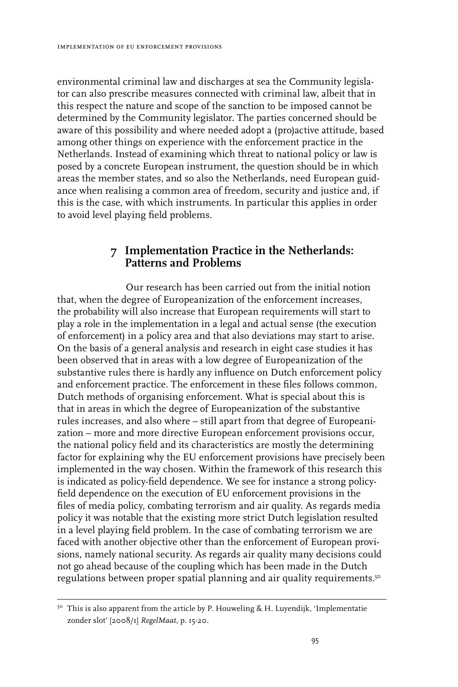environmental criminal law and discharges at sea the Community legislator can also prescribe measures connected with criminal law, albeit that in this respect the nature and scope of the sanction to be imposed cannot be determined by the Community legislator. The parties concerned should be aware of this possibility and where needed adopt a (pro)active attitude, based among other things on experience with the enforcement practice in the Netherlands. Instead of examining which threat to national policy or law is posed by a concrete European instrument, the question should be in which areas the member states, and so also the Netherlands, need European guidance when realising a common area of freedom, security and justice and, if this is the case, with which instruments. In particular this applies in order to avoid level playing field problems.

### **7 Implementation Practice in the Netherlands: Patterns and Problems**

Our research has been carried out from the initial notion that, when the degree of Europeanization of the enforcement increases, the probability will also increase that European requirements will start to play a role in the implementation in a legal and actual sense (the execution of enforcement) in a policy area and that also deviations may start to arise. On the basis of a general analysis and research in eight case studies it has been observed that in areas with a low degree of Europeanization of the substantive rules there is hardly any influence on Dutch enforcement policy and enforcement practice. The enforcement in these files follows common, Dutch methods of organising enforcement. What is special about this is that in areas in which the degree of Europeanization of the substantive rules increases, and also where – still apart from that degree of Europeanization – more and more directive European enforcement provisions occur, the national policy field and its characteristics are mostly the determining factor for explaining why the EU enforcement provisions have precisely been implemented in the way chosen. Within the framework of this research this is indicated as policy-field dependence. We see for instance a strong policyfield dependence on the execution of EU enforcement provisions in the files of media policy, combating terrorism and air quality. As regards media policy it was notable that the existing more strict Dutch legislation resulted in a level playing field problem. In the case of combating terrorism we are faced with another objective other than the enforcement of European provisions, namely national security. As regards air quality many decisions could not go ahead because of the coupling which has been made in the Dutch regulations between proper spatial planning and air quality requirements.<sup>50</sup>

 $50^{\circ}$  This is also apparent from the article by P. Houweling & H. Luyendijk, 'Implementatie zonder slot' [2008/1] *RegelMaat*, p. 15-20.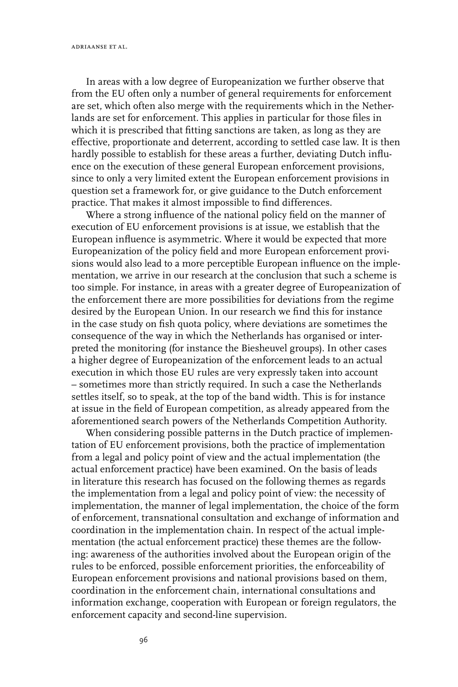In areas with a low degree of Europeanization we further observe that from the EU often only a number of general requirements for enforcement are set, which often also merge with the requirements which in the Netherlands are set for enforcement. This applies in particular for those files in which it is prescribed that fitting sanctions are taken, as long as they are effective, proportionate and deterrent, according to settled case law. It is then hardly possible to establish for these areas a further, deviating Dutch influence on the execution of these general European enforcement provisions, since to only a very limited extent the European enforcement provisions in question set a framework for, or give guidance to the Dutch enforcement practice. That makes it almost impossible to find differences.

Where a strong influence of the national policy field on the manner of execution of EU enforcement provisions is at issue, we establish that the European influence is asymmetric. Where it would be expected that more Europeanization of the policy field and more European enforcement provisions would also lead to a more perceptible European influence on the implementation, we arrive in our research at the conclusion that such a scheme is too simple. For instance, in areas with a greater degree of Europeanization of the enforcement there are more possibilities for deviations from the regime desired by the European Union. In our research we find this for instance in the case study on fish quota policy, where deviations are sometimes the consequence of the way in which the Netherlands has organised or interpreted the monitoring (for instance the Biesheuvel groups). In other cases a higher degree of Europeanization of the enforcement leads to an actual execution in which those EU rules are very expressly taken into account – sometimes more than strictly required. In such a case the Netherlands settles itself, so to speak, at the top of the band width. This is for instance at issue in the field of European competition, as already appeared from the aforementioned search powers of the Netherlands Competition Authority.

When considering possible patterns in the Dutch practice of implementation of EU enforcement provisions, both the practice of implementation from a legal and policy point of view and the actual implementation (the actual enforcement practice) have been examined. On the basis of leads in literature this research has focused on the following themes as regards the implementation from a legal and policy point of view: the necessity of implementation, the manner of legal implementation, the choice of the form of enforcement, transnational consultation and exchange of information and coordination in the implementation chain. In respect of the actual implementation (the actual enforcement practice) these themes are the following: awareness of the authorities involved about the European origin of the rules to be enforced, possible enforcement priorities, the enforceability of European enforcement provisions and national provisions based on them, coordination in the enforcement chain, international consultations and information exchange, cooperation with European or foreign regulators, the enforcement capacity and second-line supervision.